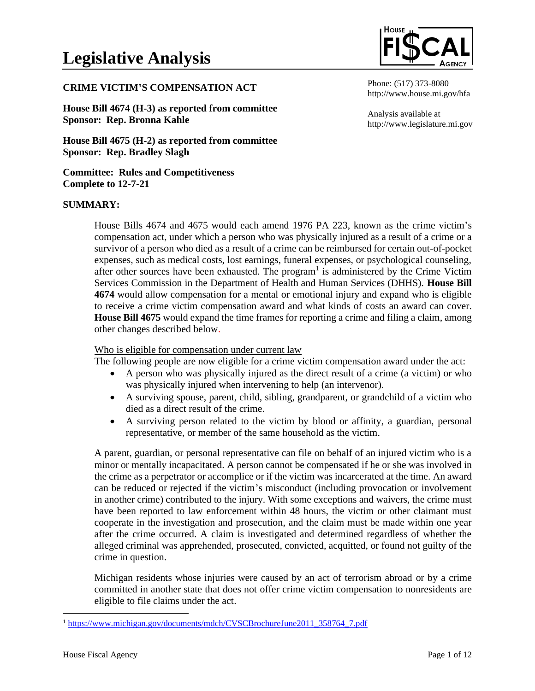#### **CRIME VICTIM'S COMPENSATION ACT**

**House Bill 4674 (H-3) as reported from committee Sponsor: Rep. Bronna Kahle**

**House Bill 4675 (H-2) as reported from committee Sponsor: Rep. Bradley Slagh**

**Committee: Rules and Competitiveness Complete to 12-7-21**

#### **SUMMARY:**

House Bills 4674 and 4675 would each amend 1976 PA 223, known as the crime victim's compensation act, under which a person who was physically injured as a result of a crime or a survivor of a person who died as a result of a crime can be reimbursed for certain out-of-pocket expenses, such as medical costs, lost earnings, funeral expenses, or psychological counseling, after other sources have been exhausted. The program<sup>1</sup> is administered by the Crime Victim Services Commission in the Department of Health and Human Services (DHHS). **House Bill 4674** would allow compensation for a mental or emotional injury and expand who is eligible to receive a crime victim compensation award and what kinds of costs an award can cover. **House Bill 4675** would expand the time frames for reporting a crime and filing a claim, among other changes described below.

#### Who is eligible for compensation under current law

The following people are now eligible for a crime victim compensation award under the act:

- A person who was physically injured as the direct result of a crime (a victim) or who was physically injured when intervening to help (an intervenor).
- A surviving spouse, parent, child, sibling, grandparent, or grandchild of a victim who died as a direct result of the crime.
- A surviving person related to the victim by blood or affinity, a guardian, personal representative, or member of the same household as the victim.

A parent, guardian, or personal representative can file on behalf of an injured victim who is a minor or mentally incapacitated. A person cannot be compensated if he or she was involved in the crime as a perpetrator or accomplice or if the victim was incarcerated at the time. An award can be reduced or rejected if the victim's misconduct (including provocation or involvement in another crime) contributed to the injury. With some exceptions and waivers, the crime must have been reported to law enforcement within 48 hours, the victim or other claimant must cooperate in the investigation and prosecution, and the claim must be made within one year after the crime occurred. A claim is investigated and determined regardless of whether the alleged criminal was apprehended, prosecuted, convicted, acquitted, or found not guilty of the crime in question.

Michigan residents whose injuries were caused by an act of terrorism abroad or by a crime committed in another state that does not offer crime victim compensation to nonresidents are eligible to file claims under the act.



Phone: (517) 373-8080 http://www.house.mi.gov/hfa

Analysis available at http://www.legislature.mi.gov

<sup>&</sup>lt;sup>1</sup> [https://www.michigan.gov/documents/mdch/CVSCBrochureJune2011\\_358764\\_7.pdf](https://www.michigan.gov/documents/mdch/CVSCBrochureJune2011_358764_7.pdf)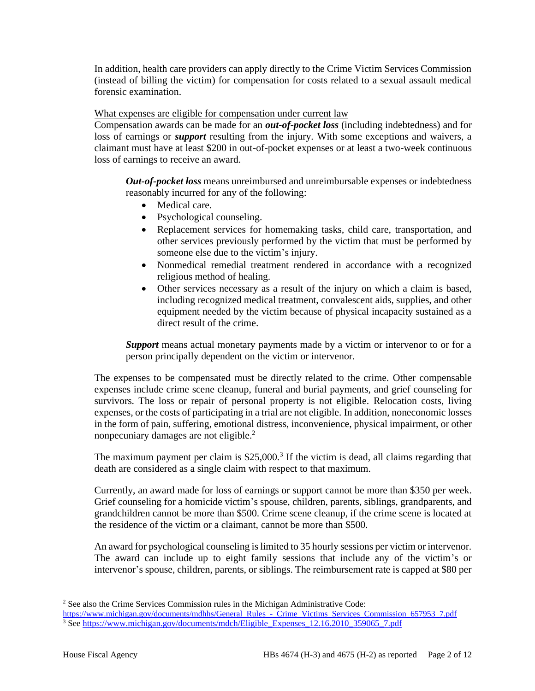In addition, health care providers can apply directly to the Crime Victim Services Commission (instead of billing the victim) for compensation for costs related to a sexual assault medical forensic examination.

What expenses are eligible for compensation under current law

Compensation awards can be made for an *out-of-pocket loss* (including indebtedness) and for loss of earnings or *support* resulting from the injury. With some exceptions and waivers, a claimant must have at least \$200 in out-of-pocket expenses or at least a two-week continuous loss of earnings to receive an award.

*Out-of-pocket loss* means unreimbursed and unreimbursable expenses or indebtedness reasonably incurred for any of the following:

- Medical care.
- Psychological counseling.
- Replacement services for homemaking tasks, child care, transportation, and other services previously performed by the victim that must be performed by someone else due to the victim's injury.
- Nonmedical remedial treatment rendered in accordance with a recognized religious method of healing.
- Other services necessary as a result of the injury on which a claim is based, including recognized medical treatment, convalescent aids, supplies, and other equipment needed by the victim because of physical incapacity sustained as a direct result of the crime.

*Support* means actual monetary payments made by a victim or intervenor to or for a person principally dependent on the victim or intervenor.

The expenses to be compensated must be directly related to the crime. Other compensable expenses include crime scene cleanup, funeral and burial payments, and grief counseling for survivors. The loss or repair of personal property is not eligible. Relocation costs, living expenses, or the costs of participating in a trial are not eligible. In addition, noneconomic losses in the form of pain, suffering, emotional distress, inconvenience, physical impairment, or other nonpecuniary damages are not eligible.<sup>2</sup>

The maximum payment per claim is  $$25,000$ .<sup>3</sup> If the victim is dead, all claims regarding that death are considered as a single claim with respect to that maximum.

Currently, an award made for loss of earnings or support cannot be more than \$350 per week. Grief counseling for a homicide victim's spouse, children, parents, siblings, grandparents, and grandchildren cannot be more than \$500. Crime scene cleanup, if the crime scene is located at the residence of the victim or a claimant, cannot be more than \$500.

An award for psychological counseling is limited to 35 hourly sessions per victim or intervenor. The award can include up to eight family sessions that include any of the victim's or intervenor's spouse, children, parents, or siblings. The reimbursement rate is capped at \$80 per

<sup>&</sup>lt;sup>2</sup> See also the Crime Services Commission rules in the Michigan Administrative Code:

[https://www.michigan.gov/documents/mdhhs/General\\_Rules\\_-\\_Crime\\_Victims\\_Services\\_Commission\\_657953\\_7.pdf](https://www.michigan.gov/documents/mdhhs/General_Rules_-_Crime_Victims_Services_Commission_657953_7.pdf) <sup>3</sup> Se[e https://www.michigan.gov/documents/mdch/Eligible\\_Expenses\\_12.16.2010\\_359065\\_7.pdf](https://www.michigan.gov/documents/mdch/Eligible_Expenses_12.16.2010_359065_7.pdf)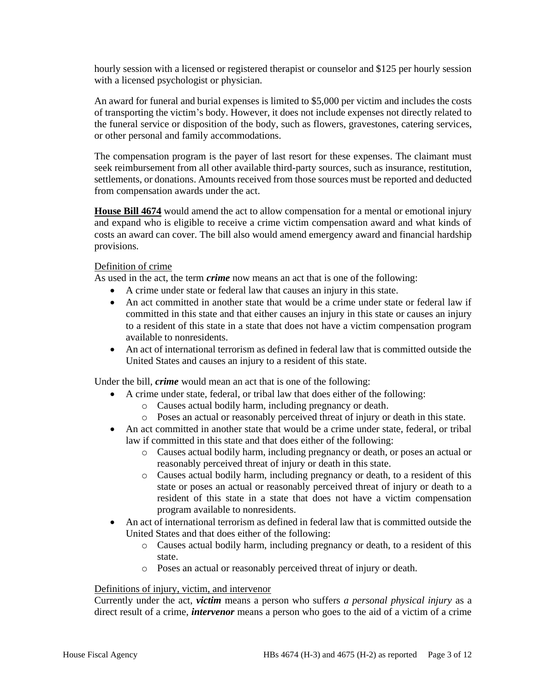hourly session with a licensed or registered therapist or counselor and \$125 per hourly session with a licensed psychologist or physician.

An award for funeral and burial expenses is limited to \$5,000 per victim and includes the costs of transporting the victim's body. However, it does not include expenses not directly related to the funeral service or disposition of the body, such as flowers, gravestones, catering services, or other personal and family accommodations.

The compensation program is the payer of last resort for these expenses. The claimant must seek reimbursement from all other available third-party sources, such as insurance, restitution, settlements, or donations. Amounts received from those sources must be reported and deducted from compensation awards under the act.

**House Bill 4674** would amend the act to allow compensation for a mental or emotional injury and expand who is eligible to receive a crime victim compensation award and what kinds of costs an award can cover. The bill also would amend emergency award and financial hardship provisions.

# Definition of crime

As used in the act, the term *crime* now means an act that is one of the following:

- A crime under state or federal law that causes an injury in this state.
- An act committed in another state that would be a crime under state or federal law if committed in this state and that either causes an injury in this state or causes an injury to a resident of this state in a state that does not have a victim compensation program available to nonresidents.
- An act of international terrorism as defined in federal law that is committed outside the United States and causes an injury to a resident of this state.

Under the bill, *crime* would mean an act that is one of the following:

- A crime under state, federal, or tribal law that does either of the following:
	- o Causes actual bodily harm, including pregnancy or death.
	- o Poses an actual or reasonably perceived threat of injury or death in this state.
- An act committed in another state that would be a crime under state, federal, or tribal law if committed in this state and that does either of the following:
	- o Causes actual bodily harm, including pregnancy or death, or poses an actual or reasonably perceived threat of injury or death in this state.
	- o Causes actual bodily harm, including pregnancy or death, to a resident of this state or poses an actual or reasonably perceived threat of injury or death to a resident of this state in a state that does not have a victim compensation program available to nonresidents.
- An act of international terrorism as defined in federal law that is committed outside the United States and that does either of the following:
	- o Causes actual bodily harm, including pregnancy or death, to a resident of this state.
	- o Poses an actual or reasonably perceived threat of injury or death.

### Definitions of injury, victim, and intervenor

Currently under the act, *victim* means a person who suffers *a personal physical injury* as a direct result of a crime, *intervenor* means a person who goes to the aid of a victim of a crime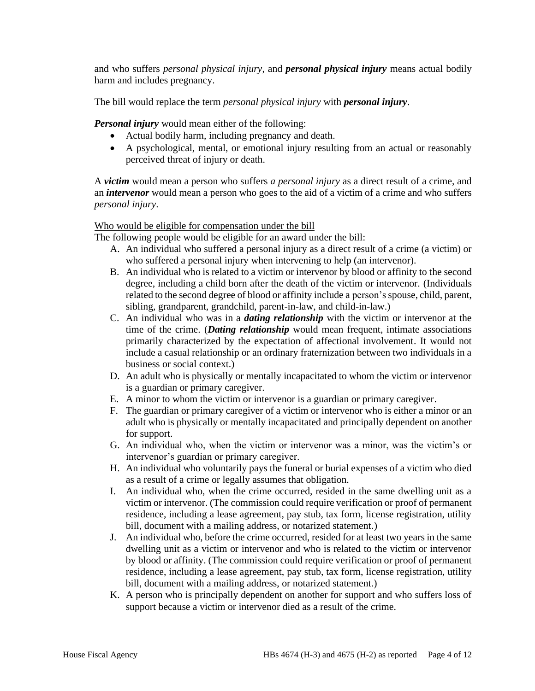and who suffers *personal physical injury*, and *personal physical injury* means actual bodily harm and includes pregnancy.

The bill would replace the term *personal physical injury* with *personal injury*.

*Personal injury* would mean either of the following:

- Actual bodily harm, including pregnancy and death.
- A psychological, mental, or emotional injury resulting from an actual or reasonably perceived threat of injury or death.

A *victim* would mean a person who suffers *a personal injury* as a direct result of a crime, and an *intervenor* would mean a person who goes to the aid of a victim of a crime and who suffers *personal injury*.

# Who would be eligible for compensation under the bill

The following people would be eligible for an award under the bill:

- A. An individual who suffered a personal injury as a direct result of a crime (a victim) or who suffered a personal injury when intervening to help (an intervenor).
- B. An individual who is related to a victim or intervenor by blood or affinity to the second degree, including a child born after the death of the victim or intervenor. (Individuals related to the second degree of blood or affinity include a person's spouse, child, parent, sibling, grandparent, grandchild, parent-in-law, and child-in-law.)
- C. An individual who was in a *dating relationship* with the victim or intervenor at the time of the crime. (*Dating relationship* would mean frequent, intimate associations primarily characterized by the expectation of affectional involvement. It would not include a casual relationship or an ordinary fraternization between two individuals in a business or social context.)
- D. An adult who is physically or mentally incapacitated to whom the victim or intervenor is a guardian or primary caregiver.
- E. A minor to whom the victim or intervenor is a guardian or primary caregiver.
- F. The guardian or primary caregiver of a victim or intervenor who is either a minor or an adult who is physically or mentally incapacitated and principally dependent on another for support.
- G. An individual who, when the victim or intervenor was a minor, was the victim's or intervenor's guardian or primary caregiver.
- H. An individual who voluntarily pays the funeral or burial expenses of a victim who died as a result of a crime or legally assumes that obligation.
- I. An individual who, when the crime occurred, resided in the same dwelling unit as a victim or intervenor. (The commission could require verification or proof of permanent residence, including a lease agreement, pay stub, tax form, license registration, utility bill, document with a mailing address, or notarized statement.)
- J. An individual who, before the crime occurred, resided for at least two years in the same dwelling unit as a victim or intervenor and who is related to the victim or intervenor by blood or affinity. (The commission could require verification or proof of permanent residence, including a lease agreement, pay stub, tax form, license registration, utility bill, document with a mailing address, or notarized statement.)
- K. A person who is principally dependent on another for support and who suffers loss of support because a victim or intervenor died as a result of the crime.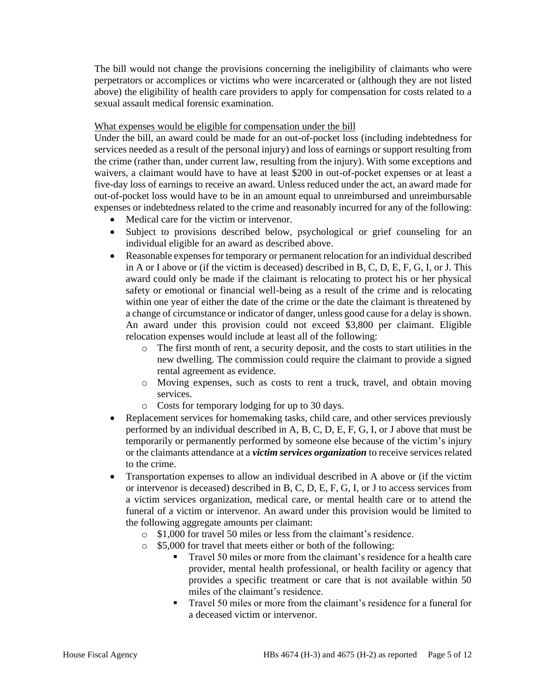The bill would not change the provisions concerning the ineligibility of claimants who were perpetrators or accomplices or victims who were incarcerated or (although they are not listed above) the eligibility of health care providers to apply for compensation for costs related to a sexual assault medical forensic examination.

## What expenses would be eligible for compensation under the bill

Under the bill, an award could be made for an out-of-pocket loss (including indebtedness for services needed as a result of the personal injury) and loss of earnings or support resulting from the crime (rather than, under current law, resulting from the injury). With some exceptions and waivers, a claimant would have to have at least \$200 in out-of-pocket expenses or at least a five-day loss of earnings to receive an award. Unless reduced under the act, an award made for out-of-pocket loss would have to be in an amount equal to unreimbursed and unreimbursable expenses or indebtedness related to the crime and reasonably incurred for any of the following:

- Medical care for the victim or intervenor.
- Subject to provisions described below, psychological or grief counseling for an individual eligible for an award as described above.
- Reasonable expenses for temporary or permanent relocation for an individual described in A or I above or (if the victim is deceased) described in B, C, D, E, F, G, I, or J. This award could only be made if the claimant is relocating to protect his or her physical safety or emotional or financial well-being as a result of the crime and is relocating within one year of either the date of the crime or the date the claimant is threatened by a change of circumstance or indicator of danger, unless good cause for a delay is shown. An award under this provision could not exceed \$3,800 per claimant. Eligible relocation expenses would include at least all of the following:
	- o The first month of rent, a security deposit, and the costs to start utilities in the new dwelling. The commission could require the claimant to provide a signed rental agreement as evidence.
	- o Moving expenses, such as costs to rent a truck, travel, and obtain moving services.
	- o Costs for temporary lodging for up to 30 days.
- Replacement services for homemaking tasks, child care, and other services previously performed by an individual described in A, B, C, D, E, F, G, I, or J above that must be temporarily or permanently performed by someone else because of the victim's injury or the claimants attendance at a *victim services organization* to receive services related to the crime.
- Transportation expenses to allow an individual described in A above or (if the victim or intervenor is deceased) described in B, C, D, E, F, G, I, or J to access services from a victim services organization, medical care, or mental health care or to attend the funeral of a victim or intervenor. An award under this provision would be limited to the following aggregate amounts per claimant:
	- o \$1,000 for travel 50 miles or less from the claimant's residence.
	- o \$5,000 for travel that meets either or both of the following:
		- Travel 50 miles or more from the claimant's residence for a health care provider, mental health professional, or health facility or agency that provides a specific treatment or care that is not available within 50 miles of the claimant's residence.
		- Travel 50 miles or more from the claimant's residence for a funeral for a deceased victim or intervenor.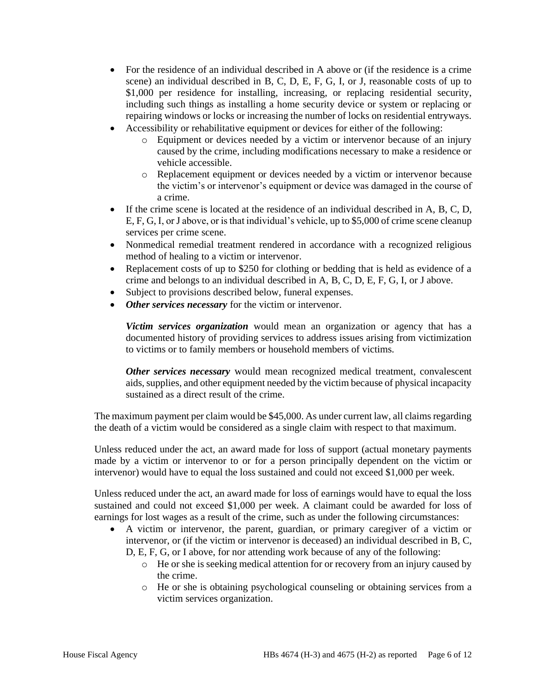- For the residence of an individual described in A above or (if the residence is a crime scene) an individual described in B, C, D, E, F, G, I, or J, reasonable costs of up to \$1,000 per residence for installing, increasing, or replacing residential security, including such things as installing a home security device or system or replacing or repairing windows or locks or increasing the number of locks on residential entryways.
- Accessibility or rehabilitative equipment or devices for either of the following:
	- o Equipment or devices needed by a victim or intervenor because of an injury caused by the crime, including modifications necessary to make a residence or vehicle accessible.
	- o Replacement equipment or devices needed by a victim or intervenor because the victim's or intervenor's equipment or device was damaged in the course of a crime.
- If the crime scene is located at the residence of an individual described in A, B, C, D, E, F, G, I, or J above, or is that individual's vehicle, up to \$5,000 of crime scene cleanup services per crime scene.
- Nonmedical remedial treatment rendered in accordance with a recognized religious method of healing to a victim or intervenor.
- Replacement costs of up to \$250 for clothing or bedding that is held as evidence of a crime and belongs to an individual described in A, B, C, D, E, F, G, I, or J above.
- Subject to provisions described below, funeral expenses.
- *Other services necessary* for the victim or intervenor.

*Victim services organization* would mean an organization or agency that has a documented history of providing services to address issues arising from victimization to victims or to family members or household members of victims.

*Other services necessary* would mean recognized medical treatment, convalescent aids, supplies, and other equipment needed by the victim because of physical incapacity sustained as a direct result of the crime.

The maximum payment per claim would be \$45,000. As under current law, all claims regarding the death of a victim would be considered as a single claim with respect to that maximum.

Unless reduced under the act, an award made for loss of support (actual monetary payments made by a victim or intervenor to or for a person principally dependent on the victim or intervenor) would have to equal the loss sustained and could not exceed \$1,000 per week.

Unless reduced under the act, an award made for loss of earnings would have to equal the loss sustained and could not exceed \$1,000 per week. A claimant could be awarded for loss of earnings for lost wages as a result of the crime, such as under the following circumstances:

- A victim or intervenor, the parent, guardian, or primary caregiver of a victim or intervenor, or (if the victim or intervenor is deceased) an individual described in B, C, D, E, F, G, or I above, for nor attending work because of any of the following:
	- o He or she is seeking medical attention for or recovery from an injury caused by the crime.
	- o He or she is obtaining psychological counseling or obtaining services from a victim services organization.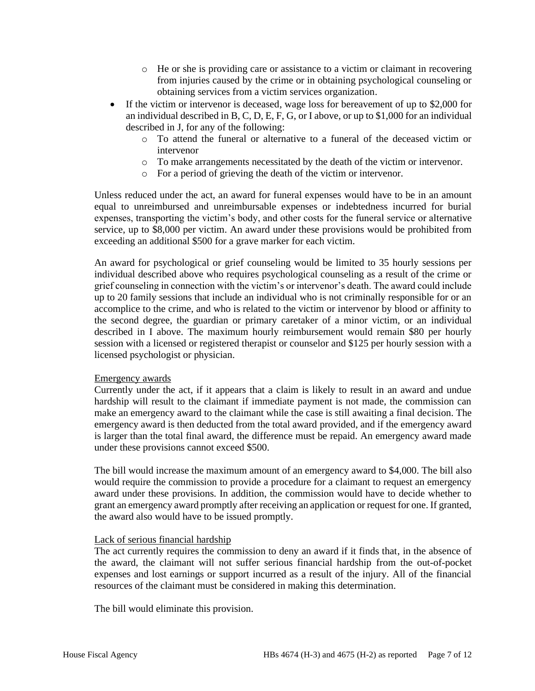- o He or she is providing care or assistance to a victim or claimant in recovering from injuries caused by the crime or in obtaining psychological counseling or obtaining services from a victim services organization.
- If the victim or intervenor is deceased, wage loss for bereavement of up to \$2,000 for an individual described in B, C, D, E, F, G, or I above, or up to \$1,000 for an individual described in J, for any of the following:
	- o To attend the funeral or alternative to a funeral of the deceased victim or intervenor
	- o To make arrangements necessitated by the death of the victim or intervenor.
	- o For a period of grieving the death of the victim or intervenor.

Unless reduced under the act, an award for funeral expenses would have to be in an amount equal to unreimbursed and unreimbursable expenses or indebtedness incurred for burial expenses, transporting the victim's body, and other costs for the funeral service or alternative service, up to \$8,000 per victim. An award under these provisions would be prohibited from exceeding an additional \$500 for a grave marker for each victim.

An award for psychological or grief counseling would be limited to 35 hourly sessions per individual described above who requires psychological counseling as a result of the crime or grief counseling in connection with the victim's or intervenor's death. The award could include up to 20 family sessions that include an individual who is not criminally responsible for or an accomplice to the crime, and who is related to the victim or intervenor by blood or affinity to the second degree, the guardian or primary caretaker of a minor victim, or an individual described in I above. The maximum hourly reimbursement would remain \$80 per hourly session with a licensed or registered therapist or counselor and \$125 per hourly session with a licensed psychologist or physician.

### Emergency awards

Currently under the act, if it appears that a claim is likely to result in an award and undue hardship will result to the claimant if immediate payment is not made, the commission can make an emergency award to the claimant while the case is still awaiting a final decision. The emergency award is then deducted from the total award provided, and if the emergency award is larger than the total final award, the difference must be repaid. An emergency award made under these provisions cannot exceed \$500.

The bill would increase the maximum amount of an emergency award to \$4,000. The bill also would require the commission to provide a procedure for a claimant to request an emergency award under these provisions. In addition, the commission would have to decide whether to grant an emergency award promptly after receiving an application or request for one. If granted, the award also would have to be issued promptly.

### Lack of serious financial hardship

The act currently requires the commission to deny an award if it finds that, in the absence of the award, the claimant will not suffer serious financial hardship from the out-of-pocket expenses and lost earnings or support incurred as a result of the injury. All of the financial resources of the claimant must be considered in making this determination.

The bill would eliminate this provision.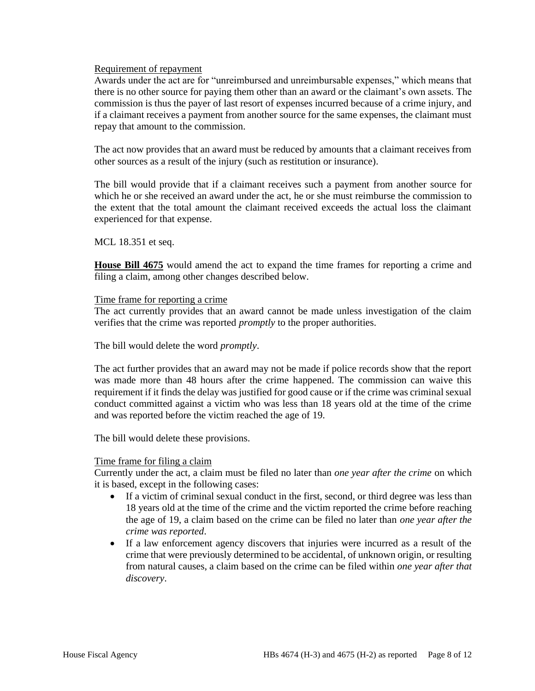#### Requirement of repayment

Awards under the act are for "unreimbursed and unreimbursable expenses," which means that there is no other source for paying them other than an award or the claimant's own assets. The commission is thus the payer of last resort of expenses incurred because of a crime injury, and if a claimant receives a payment from another source for the same expenses, the claimant must repay that amount to the commission.

The act now provides that an award must be reduced by amounts that a claimant receives from other sources as a result of the injury (such as restitution or insurance).

The bill would provide that if a claimant receives such a payment from another source for which he or she received an award under the act, he or she must reimburse the commission to the extent that the total amount the claimant received exceeds the actual loss the claimant experienced for that expense.

MCL 18.351 et seq.

**House Bill 4675** would amend the act to expand the time frames for reporting a crime and filing a claim, among other changes described below.

#### Time frame for reporting a crime

The act currently provides that an award cannot be made unless investigation of the claim verifies that the crime was reported *promptly* to the proper authorities.

The bill would delete the word *promptly*.

The act further provides that an award may not be made if police records show that the report was made more than 48 hours after the crime happened. The commission can waive this requirement if it finds the delay was justified for good cause or if the crime was criminal sexual conduct committed against a victim who was less than 18 years old at the time of the crime and was reported before the victim reached the age of 19.

The bill would delete these provisions.

### Time frame for filing a claim

Currently under the act, a claim must be filed no later than *one year after the crime* on which it is based, except in the following cases:

- If a victim of criminal sexual conduct in the first, second, or third degree was less than 18 years old at the time of the crime and the victim reported the crime before reaching the age of 19, a claim based on the crime can be filed no later than *one year after the crime was reported*.
- If a law enforcement agency discovers that injuries were incurred as a result of the crime that were previously determined to be accidental, of unknown origin, or resulting from natural causes, a claim based on the crime can be filed within *one year after that discovery*.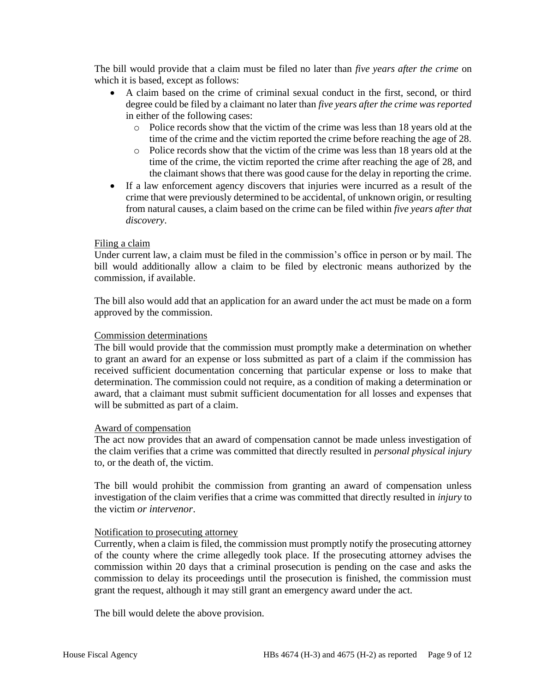The bill would provide that a claim must be filed no later than *five years after the crime* on which it is based, except as follows:

- A claim based on the crime of criminal sexual conduct in the first, second, or third degree could be filed by a claimant no later than *five years after the crime was reported* in either of the following cases:
	- o Police records show that the victim of the crime was less than 18 years old at the time of the crime and the victim reported the crime before reaching the age of 28.
	- o Police records show that the victim of the crime was less than 18 years old at the time of the crime, the victim reported the crime after reaching the age of 28, and the claimant shows that there was good cause for the delay in reporting the crime.
- If a law enforcement agency discovers that injuries were incurred as a result of the crime that were previously determined to be accidental, of unknown origin, or resulting from natural causes, a claim based on the crime can be filed within *five years after that discovery*.

### Filing a claim

Under current law, a claim must be filed in the commission's office in person or by mail. The bill would additionally allow a claim to be filed by electronic means authorized by the commission, if available.

The bill also would add that an application for an award under the act must be made on a form approved by the commission.

#### Commission determinations

The bill would provide that the commission must promptly make a determination on whether to grant an award for an expense or loss submitted as part of a claim if the commission has received sufficient documentation concerning that particular expense or loss to make that determination. The commission could not require, as a condition of making a determination or award, that a claimant must submit sufficient documentation for all losses and expenses that will be submitted as part of a claim.

#### Award of compensation

The act now provides that an award of compensation cannot be made unless investigation of the claim verifies that a crime was committed that directly resulted in *personal physical injury* to, or the death of, the victim.

The bill would prohibit the commission from granting an award of compensation unless investigation of the claim verifies that a crime was committed that directly resulted in *injury* to the victim *or intervenor*.

### Notification to prosecuting attorney

Currently, when a claim is filed, the commission must promptly notify the prosecuting attorney of the county where the crime allegedly took place. If the prosecuting attorney advises the commission within 20 days that a criminal prosecution is pending on the case and asks the commission to delay its proceedings until the prosecution is finished, the commission must grant the request, although it may still grant an emergency award under the act.

The bill would delete the above provision.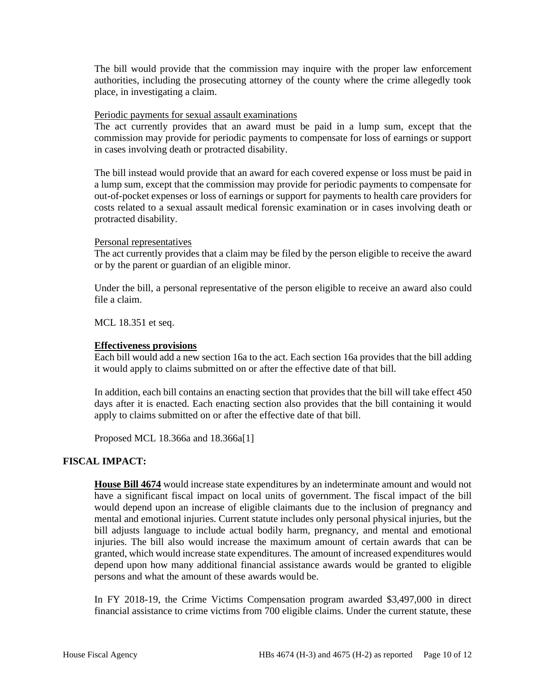The bill would provide that the commission may inquire with the proper law enforcement authorities, including the prosecuting attorney of the county where the crime allegedly took place, in investigating a claim.

#### Periodic payments for sexual assault examinations

The act currently provides that an award must be paid in a lump sum, except that the commission may provide for periodic payments to compensate for loss of earnings or support in cases involving death or protracted disability.

The bill instead would provide that an award for each covered expense or loss must be paid in a lump sum, except that the commission may provide for periodic payments to compensate for out-of-pocket expenses or loss of earnings or support for payments to health care providers for costs related to a sexual assault medical forensic examination or in cases involving death or protracted disability.

### Personal representatives

The act currently provides that a claim may be filed by the person eligible to receive the award or by the parent or guardian of an eligible minor.

Under the bill, a personal representative of the person eligible to receive an award also could file a claim.

MCL 18.351 et seq.

#### **Effectiveness provisions**

Each bill would add a new section 16a to the act. Each section 16a provides that the bill adding it would apply to claims submitted on or after the effective date of that bill.

In addition, each bill contains an enacting section that provides that the bill will take effect 450 days after it is enacted. Each enacting section also provides that the bill containing it would apply to claims submitted on or after the effective date of that bill.

Proposed MCL 18.366a and 18.366a[1]

### **FISCAL IMPACT:**

**House Bill 4674** would increase state expenditures by an indeterminate amount and would not have a significant fiscal impact on local units of government. The fiscal impact of the bill would depend upon an increase of eligible claimants due to the inclusion of pregnancy and mental and emotional injuries. Current statute includes only personal physical injuries, but the bill adjusts language to include actual bodily harm, pregnancy, and mental and emotional injuries. The bill also would increase the maximum amount of certain awards that can be granted, which would increase state expenditures. The amount of increased expenditures would depend upon how many additional financial assistance awards would be granted to eligible persons and what the amount of these awards would be.

In FY 2018-19, the Crime Victims Compensation program awarded \$3,497,000 in direct financial assistance to crime victims from 700 eligible claims. Under the current statute, these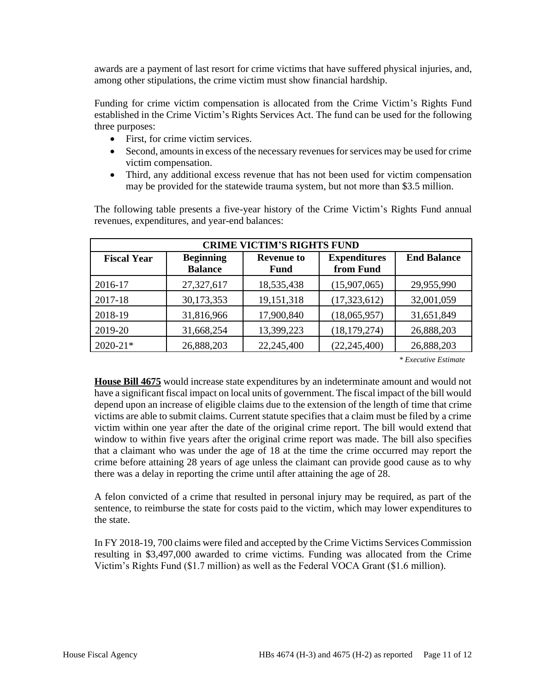awards are a payment of last resort for crime victims that have suffered physical injuries, and, among other stipulations, the crime victim must show financial hardship.

Funding for crime victim compensation is allocated from the Crime Victim's Rights Fund established in the Crime Victim's Rights Services Act. The fund can be used for the following three purposes:

- First, for crime victim services.
- Second, amounts in excess of the necessary revenues for services may be used for crime victim compensation.
- Third, any additional excess revenue that has not been used for victim compensation may be provided for the statewide trauma system, but not more than \$3.5 million.

The following table presents a five-year history of the Crime Victim's Rights Fund annual revenues, expenditures, and year-end balances:

| <b>CRIME VICTIM'S RIGHTS FUND</b> |                                    |                           |                                  |                    |
|-----------------------------------|------------------------------------|---------------------------|----------------------------------|--------------------|
| <b>Fiscal Year</b>                | <b>Beginning</b><br><b>Balance</b> | <b>Revenue to</b><br>Fund | <b>Expenditures</b><br>from Fund | <b>End Balance</b> |
| 2016-17                           | 27,327,617                         | 18,535,438                | (15,907,065)                     | 29,955,990         |
| 2017-18                           | 30,173,353                         | 19,151,318                | (17,323,612)                     | 32,001,059         |
| 2018-19                           | 31,816,966                         | 17,900,840                | (18,065,957)                     | 31,651,849         |
| 2019-20                           | 31,668,254                         | 13,399,223                | (18, 179, 274)                   | 26,888,203         |
| $2020 - 21*$                      | 26,888,203                         | 22,245,400                | (22, 245, 400)                   | 26,888,203         |

 *\* Executive Estimate*

**House Bill 4675** would increase state expenditures by an indeterminate amount and would not have a significant fiscal impact on local units of government. The fiscal impact of the bill would depend upon an increase of eligible claims due to the extension of the length of time that crime victims are able to submit claims. Current statute specifies that a claim must be filed by a crime victim within one year after the date of the original crime report. The bill would extend that window to within five years after the original crime report was made. The bill also specifies that a claimant who was under the age of 18 at the time the crime occurred may report the crime before attaining 28 years of age unless the claimant can provide good cause as to why there was a delay in reporting the crime until after attaining the age of 28.

A felon convicted of a crime that resulted in personal injury may be required, as part of the sentence, to reimburse the state for costs paid to the victim, which may lower expenditures to the state.

In FY 2018-19, 700 claims were filed and accepted by the Crime Victims Services Commission resulting in \$3,497,000 awarded to crime victims. Funding was allocated from the Crime Victim's Rights Fund (\$1.7 million) as well as the Federal VOCA Grant (\$1.6 million).